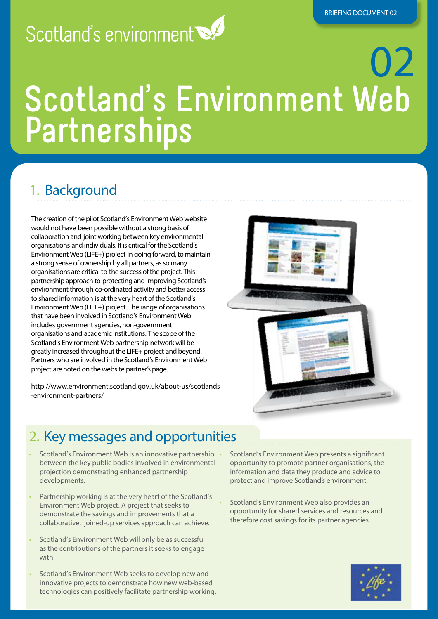## Scotland's environment

# 02 **Scotland's Environment Web Partnerships**

.

### 1. Background

The creation of the pilot Scotland's Environment Web website would not have been possible without a strong basis of collaboration and joint working between key environmental organisations and individuals. It is critical for the Scotland's Environment Web (LIFE+) project in going forward, to maintain a strong sense of ownership by all partners, as so many organisations are critical to the success of the project. This partnership approach to protecting and improving Scotland's environment through co-ordinated activity and better access to shared information is at the very heart of the Scotland's Environment Web (LIFE+) project. The range of organisations that have been involved in Scotland's Environment Web includes government agencies, non-government organisations and academic institutions. The scope of the Scotland's Environment Web partnership network will be greatly increased throughout the LIFE+ project and beyond. Partners who are involved in the Scotland's Environment Web project are noted on the website partner's page.

http://www.environment.scotland.gov.uk/about-us/scotlands -environment-partners/



#### 2. Key messages and opportunities

- Scotland's Environment Web is an innovative partnership between the key public bodies involved in environmental projection demonstrating enhanced partnership developments.
- Partnership working is at the very heart of the Scotland's Environment Web project. A project that seeks to demonstrate the savings and improvements that a collaborative, joined-up services approach can achieve.
- Scotland's Environment Web will only be as successful as the contributions of the partners it seeks to engage with.
- Scotland's Environment Web seeks to develop new and innovative projects to demonstrate how new web-based technologies can positively facilitate partnership working.

• Scotland's Environment Web presents a significant opportunity to promote partner organisations, the information and data they produce and advice to protect and improve Scotland's environment.

• Scotland's Environment Web also provides an opportunity for shared services and resources and therefore cost savings for its partner agencies.